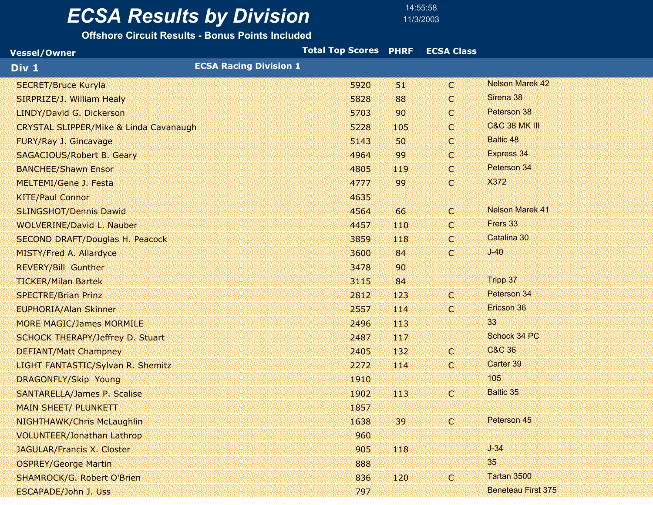14:55:58

| <b>Vessel/Owner</b>                               | Total Top Scores PHRF  ECSA Class |      |              |                           |
|---------------------------------------------------|-----------------------------------|------|--------------|---------------------------|
| Div 1                                             | <b>ECSA Racing Division 1</b>     |      |              |                           |
| <b>SECRET/Bruce Kuryla</b>                        | 5920                              | 51   | C.           | <b>Nelson Marek 42</b>    |
| SIRPRIZE/J. William Healy                         | 5828                              | 88   | C.           | Sirena 38                 |
| LINDY/David G. Dickerson                          | 5703                              | 90   | k.           | Peterson 38               |
| <b>CRYSTAL SLIPPER/Mike &amp; Linda Cavanaugh</b> | 5228                              | 105  | k.           | <b>C&amp;C 38 MK III</b>  |
| FURY/Ray J. Gincavage                             | 5143                              | 50   | $\mathbf{C}$ | <b>Baltic 48</b>          |
| <b>SAGACIOUS/Robert B. Geary</b>                  | 4964                              | 99   | C.           | <b>Express 34</b>         |
| <b>BANCHEE/Shawn Ensor</b>                        | 4805                              | 119  | k.           | Peterson 34               |
| MELTEMI/Gene J. Festa                             | 4777                              | 99   | C.           | X372                      |
| <b>KITE/Paul Connor</b>                           | 4635                              |      |              |                           |
| <b>SLINGSHOT/Dennis Dawid</b>                     | 4564                              | 66   | C.           | <b>Nelson Marek 41</b>    |
| <b>WOLVERINE/David L. Nauber</b>                  | 4457                              | 110  | k.           | Frers 33                  |
| <b>SECOND DRAFT/Douglas H. Peacock</b>            | 3859                              | 118  | k.           | Catalina 30               |
| MISTY/Fred A. Allardyce                           | 3600                              | 84   | C.           | $J-40$                    |
| <b>REVERY/Bill Gunther</b>                        | 3478                              | 90   |              |                           |
| <b>TICKER/Milan Bartek</b>                        | 3115                              | 84   |              | Tripp 37                  |
| <b>SPECTRE/Brian Prinz</b>                        | 2812                              | 123  | C.           | Peterson 34               |
| <b>EUPHORIA/Alan Skinner</b>                      | 2557                              | 114  | C.           | Ericson 36                |
| <b>MORE MAGIC/James MORMILE</b>                   | 2496                              | 113  |              | 33                        |
| <b>SCHOCK THERAPY/Jeffrey D. Stuart</b>           | 2487                              | 117  |              | Schock 34 PC              |
| <b>DEFIANT/Matt Champney</b>                      | 2405                              | 132. | Т.           | C&C 36                    |
| LIGHT FANTASTIC/Sylvan R. Shemitz                 | 2272                              | 114  | C.           | Carter 39                 |
| <b>DRAGONFLY/Skip Young</b>                       | 1910                              |      |              | 105                       |
| <b>SANTARELLA/James P. Scalise</b>                | 1902                              | 113  | C.           | <b>Baltic 35</b>          |
| <b>MAIN SHEET/ PLUNKETT</b>                       | 1857                              |      |              |                           |
| NIGHTHAWK/Chris McLaughlin                        | 1638                              | 39   | C.           | Peterson 45               |
| <b>VOLUNTEER/Jonathan Lathrop</b>                 | 960                               |      |              |                           |
| JAGULAR/Francis X. Closter                        | 905                               | 118  |              | $J-34$                    |
| <b>OSPREY/George Martin</b>                       | 888                               |      |              | 35                        |
| <b>SHAMROCK/G. Robert O'Brien</b>                 | 836                               | 120  | C.           | Tartan 3500               |
| <b>ESCAPADE/John J. Uss</b>                       | 797                               |      |              | <b>Beneteau First 375</b> |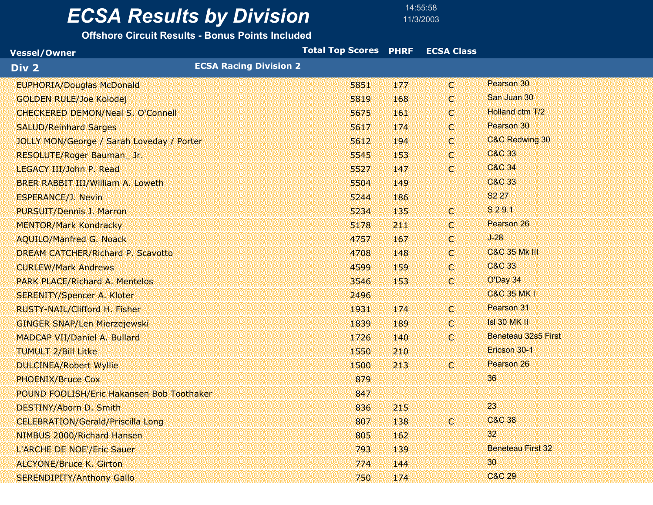14:55:58

| <b>Vessel/Owner</b>                              |                               | Total Top Scores PHRF |     | <b>ECSA Class</b> |                           |  |
|--------------------------------------------------|-------------------------------|-----------------------|-----|-------------------|---------------------------|--|
| Div 2                                            | <b>ECSA Racing Division 2</b> |                       |     |                   |                           |  |
| <b>EUPHORIA/Douglas McDonald</b>                 |                               | 5851                  | 177 | Y.                | Pearson 30                |  |
| <b>GOLDEN RULE/Joe Kolodej</b>                   |                               | 5819                  | 168 | C.                | San Juan 30               |  |
| <b>CHECKERED DEMON/Neal S. O'Connell</b>         |                               | 5675                  | 161 | $\mathbb{C}$      | Holland ctm T/2           |  |
| <b>SALUD/Reinhard Sarges</b>                     |                               | 5617                  | 174 | C.                | Pearson 30                |  |
| <b>JOLLY MON/George / Sarah Loveday / Porter</b> |                               | 5612                  | 194 | C.                | <b>C&amp;C Redwing 30</b> |  |
| RESOLUTE/Roger Bauman_Jr.                        |                               | 5545                  | 153 | $\mathbb{C}$      | <b>C&amp;C 33</b>         |  |
| LEGACY III/John P. Read                          |                               | 5527                  | 147 | C.                | <b>C&amp;C 34</b>         |  |
| <b>BRER RABBIT III/William A. Loweth</b>         |                               | 5504                  | 149 |                   | C&C 33                    |  |
| <b>ESPERANCE/J. Nevin</b>                        |                               | 5244                  | 186 |                   | S <sub>2</sub> 27         |  |
| <b>PURSUIT/Dennis J. Marron</b>                  |                               | 5234                  | 135 | Y.                | S 2 9.1                   |  |
| <b>MENTOR/Mark Kondracky</b>                     |                               | 5178                  | 211 | $\mathbf{C}$      | Pearson 26                |  |
| <b>AQUILO/Manfred G. Noack</b>                   |                               | 4757                  | 167 | C.                | $J-28$                    |  |
| <b>DREAM CATCHER/Richard P. Scavotto</b>         |                               | 4708                  | 148 | C.                | <b>C&amp;C 35 Mk III</b>  |  |
| <b>CURLEW/Mark Andrews</b>                       |                               | 4599                  | 159 | C.                | C&C 33                    |  |
| <b>PARK PLACE/Richard A. Mentelos</b>            |                               | 3546                  | 153 | $\mathbb{C}$      | O'Day 34                  |  |
| <b>SERENITY/Spencer A. Kloter</b>                |                               | 2496                  |     |                   | <b>C&amp;C 35 MK I</b>    |  |
| RUSTY-NAIL/Clifford H. Fisher                    |                               | 1931                  | 174 | k.                | Pearson 31                |  |
| <b>GINGER SNAP/Len Mierzejewski</b>              |                               | 1839                  | 189 | $\mathbb{C}$      | <b>Isl 30 MK II</b>       |  |
| MADCAP VII/Daniel A. Bullard                     |                               | 1726                  | 140 | $\mathbb{C}$      | Beneteau 32s5 First       |  |
| <b>TUMULT 2/Bill Litke</b>                       |                               | 1550                  | 210 |                   | Ericson 30-1              |  |
| <b>DULCINEA/Robert Wyllie</b>                    |                               | 1500                  | 213 | $\mathbb{C}$      | Pearson 26                |  |
| <b>PHOENIX/Bruce Cox</b>                         |                               | 879                   |     |                   | 36                        |  |
| POUND FOOLISH/Eric Hakansen Bob Toothaker        |                               | 847                   |     |                   |                           |  |
| <b>DESTINY/Aborn D. Smith</b>                    |                               | 836                   | 215 |                   | 23                        |  |
| <b>CELEBRATION/Gerald/Priscilla Long</b>         |                               | 807                   | 138 | C.                | <b>C&amp;C 38</b>         |  |
| NIMBUS 2000/Richard Hansen                       |                               | 805                   | 162 |                   | 32 <sup>°</sup>           |  |
| L'ARCHE DE NOE'/Eric Sauer                       |                               | 793                   | 139 |                   | <b>Beneteau First 32</b>  |  |
| <b>ALCYONE/Bruce K. Girton</b>                   |                               | 774                   | 144 |                   | 30                        |  |
| <b>SERENDIPITY/Anthony Gallo</b>                 |                               | 750                   | 174 |                   | <b>C&amp;C 29</b>         |  |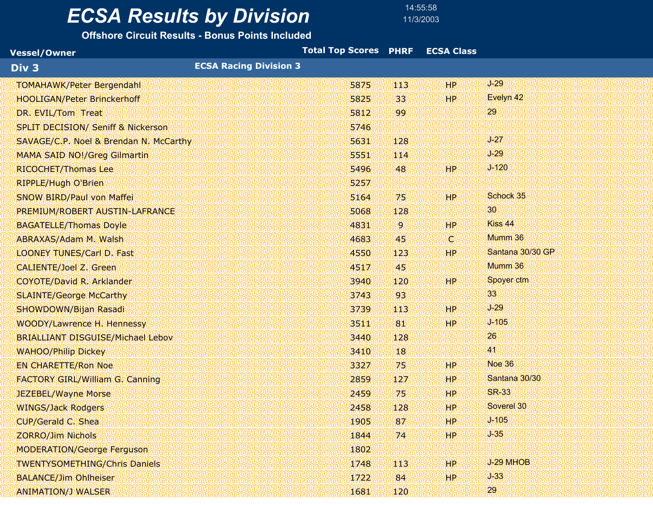14:55:58

| <b>Vessel/Owner</b>                           |                               | Total Top Scores PHRF |                | <b>ECSA Class</b> |                  |
|-----------------------------------------------|-------------------------------|-----------------------|----------------|-------------------|------------------|
| Div 3                                         | <b>ECSA Racing Division 3</b> |                       |                |                   |                  |
| <b>TOMAHAWK/Peter Bergendahl</b>              |                               | 5875                  | 113            | HP.               | $J-29$           |
| <b>HOOLIGAN/Peter Brinckerhoff</b>            |                               | 5825                  | 33             | HP.               | Evelyn 42        |
| DR. EVIL/Tom Treat                            |                               | 5812                  | 99             |                   | 29               |
| <b>SPLIT DECISION/ Seniff &amp; Nickerson</b> |                               | 5746                  |                |                   |                  |
| SAVAGE/C.P. Noel & Brendan N. McCarthy        |                               | 5631                  | 128            |                   | $J-27$           |
| <b>MAMA SAID NO!/Greg Gilmartin</b>           |                               | 5551                  | 114            |                   | $J-29$           |
| RICOCHET/Thomas Lee                           |                               | 5496                  | 48             | 'HP!              | $J - 120$        |
| <b>RIPPLE/Hugh O'Brien</b>                    |                               | 5257                  |                |                   |                  |
| <b>SNOW BIRD/Paul von Maffei</b>              |                               | 5164                  | 75             | WP.               | Schock 35        |
| PREMIUM/ROBERT AUSTIN-LAFRANCE                |                               | 5068                  | 128            |                   | 30               |
| <b>BAGATELLE/Thomas Doyle</b>                 |                               | 4831                  | $\overline{9}$ | HP.               | Kiss 44          |
| <b>ABRAXAS/Adam M. Walsh</b>                  |                               | 4683                  | 45             | k.                | Mumm 36          |
| <b>LOONEY TUNES/Carl D. Fast</b>              |                               | 4550                  | 123            | HP.               | Santana 30/30 GP |
| <b>CALIENTE/Joel Z. Green</b>                 |                               | 4517                  | 45             |                   | Mumm 36          |
| COYOTE/David R. Arklander                     |                               | 3940                  | 120            | WP.               | Spoyer ctm       |
| <b>SLAINTE/George McCarthy</b>                |                               | 3743                  | 93             |                   | 33               |
| SHOWDOWN/Bijan Rasadi                         |                               | 3739                  | 113            | HP.               | $J-29$           |
| WOODY/Lawrence H. Hennessy                    |                               | 3511                  | 81             | HP.               | $J - 105$        |
| <b>BRIALLIANT DISGUISE/Michael Lebov</b>      |                               | 3440                  | 128            |                   | 26               |
| <b>WAHOO/Philip Dickey</b>                    |                               | 3410                  | 18             |                   | 41               |
| <b>EN CHARETTE/Ron Noe</b>                    |                               | 3327                  | 75             | HP.               | <b>Noe 36</b>    |
| <b>FACTORY GIRL/William G. Canning</b>        |                               | 2859                  | 127            | 'HP!              | Santana 30/30    |
| <b>JEZEBEL/Wayne Morse</b>                    |                               | 2459                  | 75             | HP.               | <b>SR-33</b>     |
| <b>WINGS/Jack Rodgers</b>                     |                               | 2458                  | 128            | HP.               | Soverel 30       |
| <b>CUP/Gerald C. Shea</b>                     |                               | 1905                  | 87             | HP                | $J - 105$        |
| <b>ZORRO/Jim Nichols</b>                      |                               | 1844                  | 74             | <b>HP</b>         | $J-35$           |
| <b>MODERATION/George Ferguson</b>             |                               | 1802                  |                |                   |                  |
| <b>TWENTYSOMETHING/Chris Daniels</b>          |                               | 1748                  | 113            | HP.               | J-29 MHOB        |
| <b>BALANCE/Jim Ohlheiser</b>                  |                               | 1722                  | 84             | HP.               | $J-33$           |
| <b>ANIMATION/J WALSER</b>                     |                               | 1681                  | 120            |                   | 29               |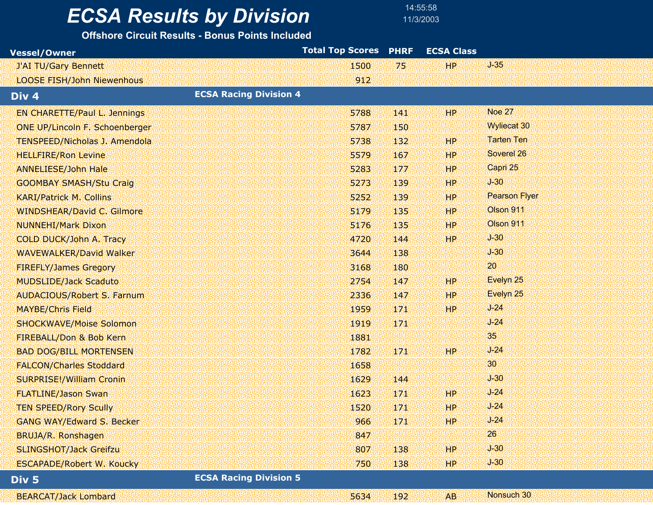14:55:58

| <b>Vessel/Owner</b>                  |                               | <b>Total Top Scores</b> | <b>PHRF</b> | <b>ECSA Class</b> |                      |  |
|--------------------------------------|-------------------------------|-------------------------|-------------|-------------------|----------------------|--|
| J'AI TU/Gary Bennett                 |                               | 1500                    | 75          | HP.               | $J-35$               |  |
| <b>LOOSE FISH/John Niewenhous</b>    |                               | 912                     |             |                   |                      |  |
| Div <sub>4</sub>                     | <b>ECSA Racing Division 4</b> |                         |             |                   |                      |  |
| <b>EN CHARETTE/Paul L. Jennings</b>  |                               | 5788                    | 141         | HP.               | <b>Noe 27</b>        |  |
| ONE UP/Lincoln F. Schoenberger       |                               | 5787                    | 150         |                   | <b>Wyliecat 30</b>   |  |
| <b>TENSPEED/Nicholas J. Amendola</b> |                               | 5738                    | 132         | HP.               | <b>Tarten Ten</b>    |  |
| <b>HELLFIRE/Ron Levine</b>           |                               | 5579                    | 167         | <b>HP</b>         | Soverel 26           |  |
| <b>ANNELIESE/John Hale</b>           |                               | 5283                    | 177         | HP.               | Capri 25             |  |
| <b>GOOMBAY SMASH/Stu Craig</b>       |                               | 5273                    | 139         | HP.               | $J-30$               |  |
| <b>KARI/Patrick M. Collins</b>       |                               | 5252                    | 139         | HP.               | <b>Pearson Flyer</b> |  |
| <b>WINDSHEAR/David C. Gilmore</b>    |                               | 5179                    | 135         | HP.               | Olson 911            |  |
| <b>NUNNEHI/Mark Dixon</b>            |                               | 5176                    | 135         | HP.               | Olson 911            |  |
| <b>COLD DUCK/John A. Tracy</b>       |                               | 4720                    | 144         | HP.               | $J-30$               |  |
| <b>WAVEWALKER/David Walker</b>       |                               | 3644                    | 138         |                   | $J-30$               |  |
| <b>FIREFLY/James Gregory</b>         |                               | 3168                    | 180         |                   | 20                   |  |
| <b>MUDSLIDE/Jack Scaduto</b>         |                               | 2754                    | 147         | HP.               | Evelyn 25            |  |
| <b>AUDACIOUS/Robert S. Farnum</b>    |                               | 2336                    | 147         | <b>HP</b>         | Evelyn 25            |  |
| <b>MAYBE/Chris Field</b>             |                               | 1959                    | 171         | HP.               | $J-24$               |  |
| <b>SHOCKWAVE/Moise Solomon</b>       |                               | 1919                    | 171         |                   | $J-24$               |  |
| FIREBALL/Don & Bob Kern              |                               | 1881                    |             |                   | 35                   |  |
| <b>BAD DOG/BILL MORTENSEN</b>        |                               | 1782                    | 171         | HP.               | $J-24$               |  |
| <b>FALCON/Charles Stoddard</b>       |                               | 1658                    |             |                   | 30                   |  |
| <b>SURPRISE!/William Cronin</b>      |                               | 1629                    | 144         |                   | $J-30$               |  |
| <b>FLATLINE/Jason Swan</b>           |                               | 1623                    | 171         | HP.               | $J-24$               |  |
| <b>TEN SPEED/Rory Scully</b>         |                               | 1520                    | 171         | <b>HP</b>         | $J-24$               |  |
| <b>GANG WAY/Edward S. Becker</b>     |                               | 966                     | 171         | HP.               | $J-24$               |  |
| BRUJA/R. Ronshagen                   |                               | 847                     |             |                   | 26                   |  |
| <b>SLINGSHOT/Jack Greifzu</b>        |                               | 807                     | 138         | <b>HP</b>         | $J-30$               |  |
| <b>ESCAPADE/Robert W. Koucky</b>     |                               | 750                     | 138         | HP.               | $J-30$               |  |
| Div 5                                | <b>ECSA Racing Division 5</b> |                         |             |                   |                      |  |
| <b>BEARCAT/Jack Lombard</b>          |                               | 5634                    | 192         | AB                | Nonsuch 30           |  |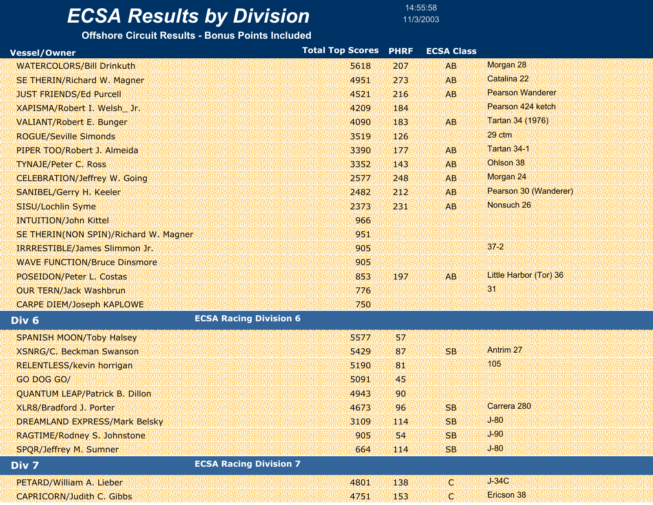### *ECSA Results by Division* 11/3/2003

14:55:58

| <b>Vessel/Owner</b>                               | <b>Total Top Scores</b> | <b>PHRF</b> | <b>ECSA Class</b> |                         |
|---------------------------------------------------|-------------------------|-------------|-------------------|-------------------------|
| <b>WATERCOLORS/Bill Drinkuth</b>                  | 5618                    | 207         | <b>AB</b>         | Morgan 28               |
| SE THERIN/Richard W. Magner                       | 4951                    | 273         | AB                | Catalina 22             |
| <b>JUST FRIENDS/Ed Purcell</b>                    | 4521                    | 216         | <b>AB</b>         | <b>Pearson Wanderer</b> |
| XAPISMA/Robert I. Welsh Jr.                       | 4209                    | 184         |                   | Pearson 424 ketch       |
| <b>VALIANT/Robert E. Bunger</b>                   | 4090                    | 183         | <b>AB</b>         | Tartan 34 (1976)        |
| <b>ROGUE/Seville Simonds</b>                      | 3519                    | 126         |                   | 29 ctm                  |
| PIPER TOO/Robert J. Almeida                       | 3390                    | 177         | <b>AB</b>         | Tartan 34-1             |
| <b>TYNAJE/Peter C. Ross</b>                       | 3352                    | 143         | <b>AB</b>         | Ohlson 38               |
| <b>CELEBRATION/Jeffrey W. Going</b>               | 2577                    | 248         | <b>AB</b>         | Morgan 24               |
| <b>SANIBEL/Gerry H. Keeler</b>                    | 2482                    | 212         | <b>AB</b>         | Pearson 30 (Wanderer)   |
| SISU/Lochlin Syme                                 | 2373                    | 231         | <b>AB</b>         | Nonsuch 26              |
| <b>INTUITION/John Kittel</b>                      | 966                     |             |                   |                         |
| SE THERIN(NON SPIN)/Richard W. Magner             | 951                     |             |                   |                         |
| <b>IRRRESTIBLE/James Slimmon Jr.</b>              | 905                     |             |                   | $37 - 2$                |
| <b>WAVE FUNCTION/Bruce Dinsmore</b>               | 905                     |             |                   |                         |
| POSEIDON/Peter L. Costas                          | 853                     | 197         | AB <sub></sub>    | Little Harbor (Tor) 36  |
| <b>OUR TERN/Jack Washbrun</b>                     | 776                     |             |                   | 31                      |
| <b>CARPE DIEM/Joseph KAPLOWE</b>                  | 750                     |             |                   |                         |
| <b>ECSA Racing Division 6</b><br>Div <sub>6</sub> |                         |             |                   |                         |
| <b>SPANISH MOON/Toby Halsey</b>                   | 5577                    | 57          |                   |                         |
| <b>XSNRG/C. Beckman Swanson</b>                   | 5429                    | 87          | <b>SB</b>         | <b>Antrim 27</b>        |
| <b>RELENTLESS/kevin horrigan</b>                  | 5190                    | 81          |                   | 105                     |
| GO DOG GO/                                        | 5091                    | 45          |                   |                         |
| <b>QUANTUM LEAP/Patrick B. Dillon</b>             | 4943                    | 90          |                   |                         |
| XLR8/Bradford J. Porter                           | 4673                    | 96          | <b>SB</b>         | Carrera 280             |
| <b>DREAMLAND EXPRESS/Mark Belsky</b>              | 3109                    | 114         | <b>SB</b>         | $J-80$                  |
| RAGTIME/Rodney S. Johnstone                       | 905                     | 54          | <b>SB</b>         | $J-90$                  |
| <b>SPQR/Jeffrey M. Sumner</b>                     | 664                     | 114         | <b>SB</b>         | $J-80$                  |
| <b>ECSA Racing Division 7</b><br>Div 7            |                         |             |                   |                         |
| PETARD/William A. Lieber                          | 4801                    | 138         | k.                | $J-34C$                 |
| <b>CAPRICORN/Judith C. Gibbs</b>                  | 4751                    | 153         | C.                | Ericson 38              |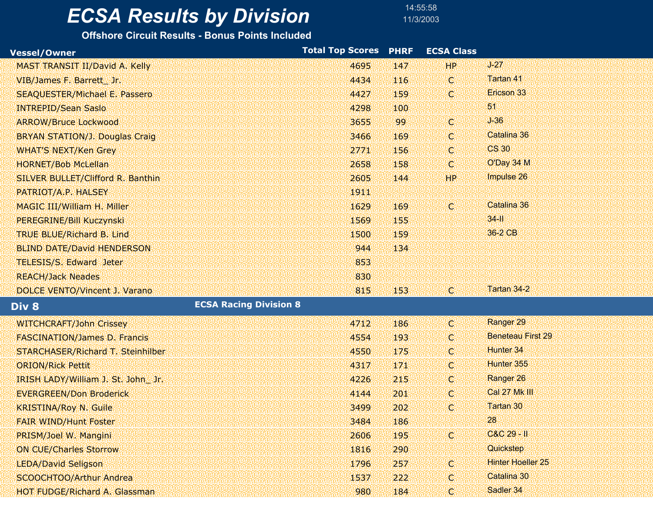14:55:58

| <b>Vessel/Owner</b>                      | <b>Total Top Scores</b> | <b>PHRF</b> | <b>ECSA Class</b> |                          |
|------------------------------------------|-------------------------|-------------|-------------------|--------------------------|
| <b>MAST TRANSIT II/David A. Kelly</b>    | 4695                    | 147         | HP                | $J-27$                   |
| VIB/James F. Barrett_ Jr.                | 4434                    | 116         | <b>C.</b>         | Tartan 41                |
| <b>SEAQUESTER/Michael E. Passero</b>     | 4427                    | 159         | k.                | Ericson 33               |
| <b>INTREPID/Sean Saslo</b>               | 4298                    | 100         |                   | 51                       |
| <b>ARROW/Bruce Lockwood</b>              | 3655                    | 99          | X.                | $J-36$                   |
| <b>BRYAN STATION/J. Douglas Craig</b>    | 3466                    | 169         | $\mathbb{C}$      | Catalina 36              |
| <b>WHAT'S NEXT/Ken Grey</b>              | 2771                    | 156         | $\mathbb{C}$      | <b>CS 30</b>             |
| <b>HORNET/Bob McLellan</b>               | 2658                    | 158         | k.                | O'Day 34 M               |
| SILVER BULLET/Clifford R. Banthin        | 2605                    | 144         | HP.               | Impulse 26               |
| PATRIOT/A.P. HALSEY                      | 1911                    |             |                   |                          |
| <b>MAGIC III/William H. Miller</b>       | 1629                    | 169         | X.                | Catalina 36              |
| PEREGRINE/Bill Kuczynski                 | 1569                    | 155         |                   | $34 - 11$                |
| <b>TRUE BLUE/Richard B. Lind</b>         | 1500                    | 159         |                   | 36-2 CB                  |
| <b>BLIND DATE/David HENDERSON</b>        | 944                     | 134         |                   |                          |
| <b>TELESIS/S. Edward Jeter</b>           | 853                     |             |                   |                          |
| <b>REACH/Jack Neades</b>                 | 830                     |             |                   |                          |
| DOLCE VENTO/Vincent J. Varano            | 815                     | 153         | .c.               | Tartan 34-2              |
| <b>ECSA Racing Division 8</b><br>Div 8   |                         |             |                   |                          |
| <b>WITCHCRAFT/John Crissey</b>           | 4712                    | 186         | k.                | Ranger 29                |
| <b>FASCINATION/James D. Francis</b>      | 4554                    | 193         | C.                | <b>Beneteau First 29</b> |
| <b>STARCHASER/Richard T. Steinhilber</b> | 4550                    | 175         | C.                | Hunter 34                |
| <b>ORION/Rick Pettit</b>                 | 4317                    | 171         | $\mathbb{C}$      | Hunter 355               |
| IRISH LADY/William J. St. John_ Jr.      | 4226                    | 215         | C.                | Ranger 26                |
| <b>EVERGREEN/Don Broderick</b>           | 4144                    | 201         | $\mathbb{C}$      | Cal 27 Mk III            |
| <b>KRISTINA/Roy N. Guile</b>             | 3499                    | 202         | $\mathbb{C}$      | Tartan 30                |
| <b>FAIR WIND/Hunt Foster</b>             | 3484                    | 186         |                   | 28                       |
| PRISM/Joel W. Mangini                    | 2606                    | 195         | X.                | C&C 29 - II              |
| <b>ON CUE/Charles Storrow</b>            | 1816                    | 290         |                   | Quickstep                |
| <b>LEDA/David Seligson</b>               | 1796                    | 257         | K.                | <b>Hinter Hoeller 25</b> |
| <b>SCOOCHTOO/Arthur Andrea</b>           | 1537                    | 222         | C.                | Catalina 30              |
| <b>HOT FUDGE/Richard A. Glassman</b>     | 980                     | 184         | $\mathbb{C}$      | Sadler 34                |